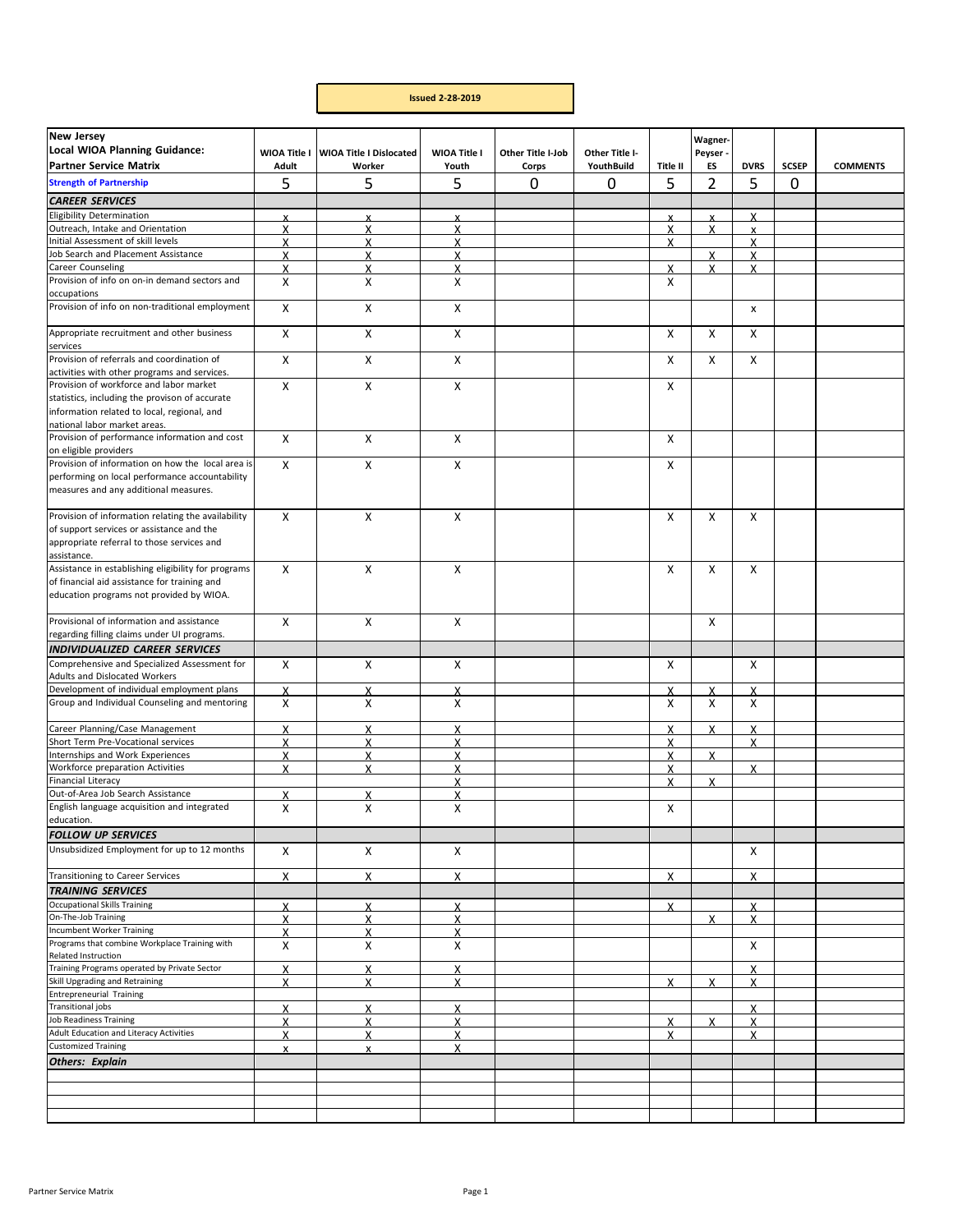## **Issued 2‐28‐2019**

| <b>New Jersey</b><br><b>Local WIOA Planning Guidance:</b><br><b>Partner Service Matrix</b>                                                                               | WIOA Title I<br>Adult | <b>WIOA Title I Dislocated</b><br>Worker | WIOA Title I<br>Youth | Other Title I-Job<br>Corps | Other Title I-<br>YouthBuild | Title II                  | Wagner-<br>Peyser -<br>ES | <b>DVRS</b>               | <b>SCSEP</b> | <b>COMMENTS</b> |
|--------------------------------------------------------------------------------------------------------------------------------------------------------------------------|-----------------------|------------------------------------------|-----------------------|----------------------------|------------------------------|---------------------------|---------------------------|---------------------------|--------------|-----------------|
| <b>Strength of Partnership</b>                                                                                                                                           | 5                     | 5                                        | 5                     | 0                          | 0                            | 5                         | 2                         | 5                         | 0            |                 |
| <b>CAREER SERVICES</b>                                                                                                                                                   |                       |                                          |                       |                            |                              |                           |                           |                           |              |                 |
| <b>Eligibility Determination</b>                                                                                                                                         | x                     | X                                        | X                     |                            |                              | X                         | X                         | X                         |              |                 |
| Outreach, Intake and Orientation                                                                                                                                         | X                     | X                                        | X                     |                            |                              | $\boldsymbol{\mathsf{x}}$ | X                         | $\boldsymbol{\mathsf{x}}$ |              |                 |
| Initial Assessment of skill levels                                                                                                                                       | X                     | X                                        | X                     |                            |                              | X                         |                           | X                         |              |                 |
| Job Search and Placement Assistance                                                                                                                                      | X                     | x                                        | х                     |                            |                              |                           | X                         | X                         |              |                 |
| Career Counseling                                                                                                                                                        | X                     | X                                        | X                     |                            |                              | $\boldsymbol{\mathsf{x}}$ | X                         | X                         |              |                 |
| Provision of info on on-in demand sectors and                                                                                                                            | Х                     | x                                        | х                     |                            |                              | X                         |                           |                           |              |                 |
| occupations<br>Provision of info on non-traditional employment                                                                                                           | x                     | x                                        | X                     |                            |                              |                           |                           | X                         |              |                 |
| Appropriate recruitment and other business                                                                                                                               | X                     | x                                        | x                     |                            |                              | X                         | X                         | X                         |              |                 |
| services<br>Provision of referrals and coordination of                                                                                                                   | $\pmb{\times}$        | X                                        | X                     |                            |                              | X                         | $\pmb{\times}$            | X                         |              |                 |
| activities with other programs and services.                                                                                                                             |                       |                                          |                       |                            |                              |                           |                           |                           |              |                 |
| Provision of workforce and labor market<br>statistics, including the provison of accurate<br>information related to local, regional, and<br>national labor market areas. | X                     | X                                        | X                     |                            |                              | X                         |                           |                           |              |                 |
| Provision of performance information and cost<br>on eligible providers                                                                                                   | $\mathsf{x}$          | X                                        | X                     |                            |                              | X                         |                           |                           |              |                 |
| Provision of information on how the local area is<br>performing on local performance accountability<br>measures and any additional measures.                             | X                     | x                                        | x                     |                            |                              | X                         |                           |                           |              |                 |
| Provision of information relating the availability<br>of support services or assistance and the<br>appropriate referral to those services and<br>assistance.             | Χ                     | Х                                        | X                     |                            |                              | X                         | Χ                         | х                         |              |                 |
| Assistance in establishing eligibility for programs<br>of financial aid assistance for training and<br>education programs not provided by WIOA.                          | X                     | X                                        | X                     |                            |                              | X                         | X                         | Χ                         |              |                 |
| Provisional of information and assistance                                                                                                                                | X                     | X                                        | X                     |                            |                              |                           | Χ                         |                           |              |                 |
| regarding filling claims under UI programs.                                                                                                                              |                       |                                          |                       |                            |                              |                           |                           |                           |              |                 |
| <b>INDIVIDUALIZED CAREER SERVICES</b>                                                                                                                                    |                       |                                          |                       |                            |                              |                           |                           |                           |              |                 |
| Comprehensive and Specialized Assessment for<br>Adults and Dislocated Workers                                                                                            | X                     | X                                        | X                     |                            |                              | Χ                         |                           | Χ                         |              |                 |
| Development of individual employment plans                                                                                                                               | $\mathsf{x}$          | X                                        | X                     |                            |                              | X                         | X                         | $\mathsf{x}$              |              |                 |
| Group and Individual Counseling and mentoring                                                                                                                            | X                     | Х                                        | X                     |                            |                              | X                         | Χ                         | Χ                         |              |                 |
| Career Planning/Case Management                                                                                                                                          | X                     | Χ                                        | X                     |                            |                              | X                         | x                         | X                         |              |                 |
| Short Term Pre-Vocational services                                                                                                                                       | X                     | X                                        | X                     |                            |                              | $\mathsf{x}$              |                           | $\boldsymbol{\mathsf{x}}$ |              |                 |
| Internships and Work Experiences                                                                                                                                         | X                     | X                                        | X                     |                            |                              | X                         | X                         |                           |              |                 |
| Workforce preparation Activities                                                                                                                                         | X                     | X                                        | X                     |                            |                              | $\boldsymbol{\mathsf{x}}$ |                           | x                         |              |                 |
| Financial Literacy                                                                                                                                                       |                       |                                          | X                     |                            |                              | X                         | X                         |                           |              |                 |
| Out-of-Area Job Search Assistance<br>English language acquisition and integrated                                                                                         | х<br>X                | X                                        | X<br>Χ                |                            |                              |                           |                           |                           |              |                 |
| education.                                                                                                                                                               |                       | X                                        |                       |                            |                              | X                         |                           |                           |              |                 |
| <b>FOLLOW UP SERVICES</b>                                                                                                                                                |                       |                                          |                       |                            |                              |                           |                           |                           |              |                 |
| Unsubsidized Employment for up to 12 months                                                                                                                              | Χ                     | Χ                                        | X                     |                            |                              |                           |                           | Χ                         |              |                 |
| Transitioning to Career Services                                                                                                                                         | X                     | X                                        | X                     |                            |                              | Χ                         |                           | Χ                         |              |                 |
| <b>TRAINING SERVICES</b>                                                                                                                                                 |                       |                                          |                       |                            |                              |                           |                           |                           |              |                 |
| <b>Occupational Skills Training</b>                                                                                                                                      | X                     | X                                        | $\mathsf{x}$          |                            |                              | X                         |                           | X                         |              |                 |
| On-The-Job Training                                                                                                                                                      | X                     | X                                        | X                     |                            |                              |                           | X                         | x                         |              |                 |
| <b>Incumbent Worker Training</b>                                                                                                                                         | X                     | X                                        | x                     |                            |                              |                           |                           |                           |              |                 |
| Programs that combine Workplace Training with<br>Related Instruction                                                                                                     | х                     | Χ                                        | x                     |                            |                              |                           |                           | X                         |              |                 |
| Training Programs operated by Private Sector                                                                                                                             | X                     | X                                        | X                     |                            |                              |                           |                           | X                         |              |                 |
| Skill Upgrading and Retraining                                                                                                                                           | x                     | X                                        | x                     |                            |                              | $\boldsymbol{\mathsf{x}}$ | x                         | X                         |              |                 |
| <b>Entrepreneurial Training</b>                                                                                                                                          |                       |                                          |                       |                            |                              |                           |                           |                           |              |                 |
| <b>Transitional jobs</b>                                                                                                                                                 | X                     | X                                        | X                     |                            |                              |                           |                           | $\boldsymbol{\mathsf{x}}$ |              |                 |
| <b>Job Readiness Training</b>                                                                                                                                            | X                     | X                                        | X                     |                            |                              | $\boldsymbol{\mathsf{x}}$ | $\mathsf{x}$              | X                         |              |                 |
| Adult Education and Literacy Activities                                                                                                                                  | X                     | X                                        | x                     |                            |                              | X                         |                           | X                         |              |                 |
| <b>Customized Training</b>                                                                                                                                               | X                     | $\mathsf{x}$                             | X                     |                            |                              |                           |                           |                           |              |                 |
| <b>Others: Explain</b>                                                                                                                                                   |                       |                                          |                       |                            |                              |                           |                           |                           |              |                 |
|                                                                                                                                                                          |                       |                                          |                       |                            |                              |                           |                           |                           |              |                 |
|                                                                                                                                                                          |                       |                                          |                       |                            |                              |                           |                           |                           |              |                 |
|                                                                                                                                                                          |                       |                                          |                       |                            |                              |                           |                           |                           |              |                 |